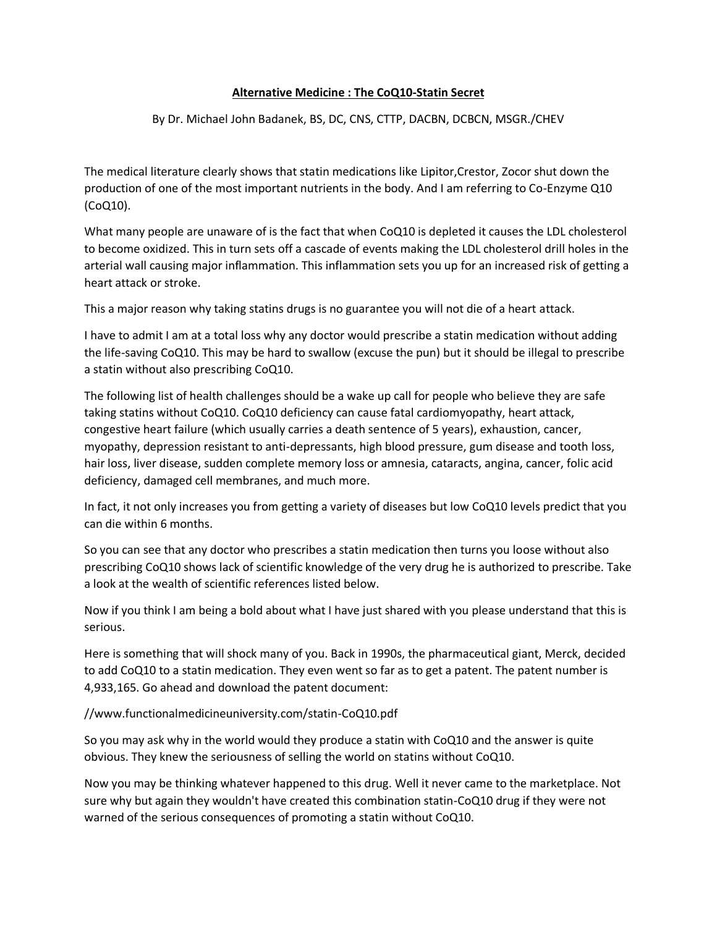## **Alternative Medicine : The CoQ10-Statin Secret**

By Dr. Michael John Badanek, BS, DC, CNS, CTTP, DACBN, DCBCN, MSGR./CHEV

The medical literature clearly shows that statin medications like Lipitor,Crestor, Zocor shut down the production of one of the most important nutrients in the body. And I am referring to Co-Enzyme Q10 (CoQ10).

What many people are unaware of is the fact that when CoQ10 is depleted it causes the LDL cholesterol to become oxidized. This in turn sets off a cascade of events making the LDL cholesterol drill holes in the arterial wall causing major inflammation. This inflammation sets you up for an increased risk of getting a heart attack or stroke.

This a major reason why taking statins drugs is no guarantee you will not die of a heart attack.

I have to admit I am at a total loss why any doctor would prescribe a statin medication without adding the life-saving CoQ10. This may be hard to swallow (excuse the pun) but it should be illegal to prescribe a statin without also prescribing CoQ10.

The following list of health challenges should be a wake up call for people who believe they are safe taking statins without CoQ10. CoQ10 deficiency can cause fatal cardiomyopathy, heart attack, congestive heart failure (which usually carries a death sentence of 5 years), exhaustion, cancer, myopathy, depression resistant to anti-depressants, high blood pressure, gum disease and tooth loss, hair loss, liver disease, sudden complete memory loss or amnesia, cataracts, angina, cancer, folic acid deficiency, damaged cell membranes, and much more.

In fact, it not only increases you from getting a variety of diseases but low CoQ10 levels predict that you can die within 6 months.

So you can see that any doctor who prescribes a statin medication then turns you loose without also prescribing CoQ10 shows lack of scientific knowledge of the very drug he is authorized to prescribe. Take a look at the wealth of scientific references listed below.

Now if you think I am being a bold about what I have just shared with you please understand that this is serious.

Here is something that will shock many of you. Back in 1990s, the pharmaceutical giant, Merck, decided to add CoQ10 to a statin medication. They even went so far as to get a patent. The patent number is 4,933,165. Go ahead and download the patent document:

//www.functionalmedicineuniversity.com/statin-CoQ10.pdf

So you may ask why in the world would they produce a statin with CoQ10 and the answer is quite obvious. They knew the seriousness of selling the world on statins without CoQ10.

Now you may be thinking whatever happened to this drug. Well it never came to the marketplace. Not sure why but again they wouldn't have created this combination statin-CoQ10 drug if they were not warned of the serious consequences of promoting a statin without CoQ10.